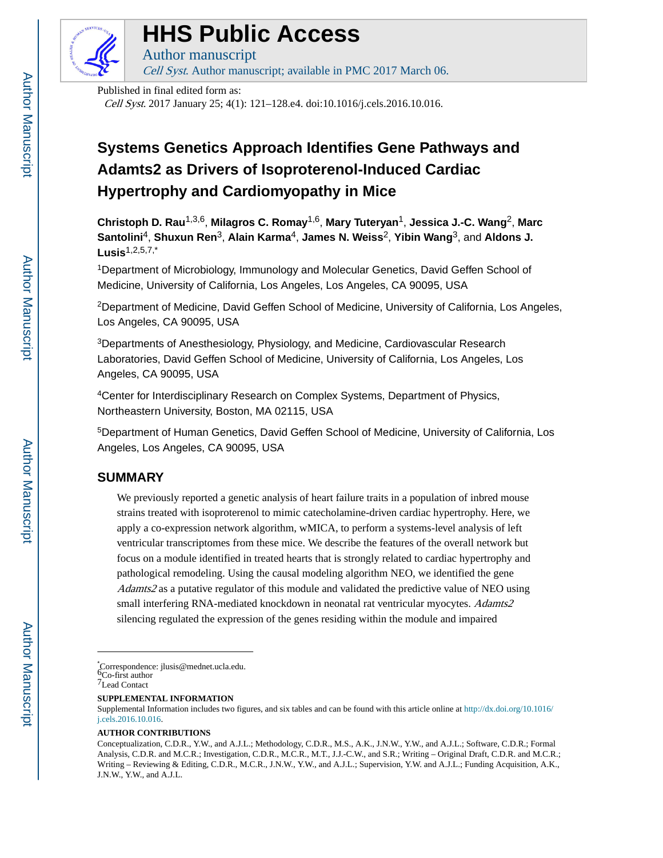

# **HHS Public Access**

Author manuscript Cell Syst. Author manuscript; available in PMC 2017 March 06.

Published in final edited form as:

Cell Syst. 2017 January 25; 4(1): 121–128.e4. doi:10.1016/j.cels.2016.10.016.

# **Systems Genetics Approach Identifies Gene Pathways and Adamts2 as Drivers of Isoproterenol-Induced Cardiac Hypertrophy and Cardiomyopathy in Mice**

**Christoph D. Rau**1,3,6, **Milagros C. Romay**1,6, **Mary Tuteryan**1, **Jessica J.-C. Wang**2, **Marc Santolini**4, **Shuxun Ren**3, **Alain Karma**4, **James N. Weiss**2, **Yibin Wang**3, and **Aldons J. Lusis**1,2,5,7,\*

<sup>1</sup>Department of Microbiology, Immunology and Molecular Genetics, David Geffen School of Medicine, University of California, Los Angeles, Los Angeles, CA 90095, USA

<sup>2</sup>Department of Medicine, David Geffen School of Medicine, University of California, Los Angeles, Los Angeles, CA 90095, USA

<sup>3</sup>Departments of Anesthesiology, Physiology, and Medicine, Cardiovascular Research Laboratories, David Geffen School of Medicine, University of California, Los Angeles, Los Angeles, CA 90095, USA

<sup>4</sup>Center for Interdisciplinary Research on Complex Systems, Department of Physics, Northeastern University, Boston, MA 02115, USA

<sup>5</sup>Department of Human Genetics, David Geffen School of Medicine, University of California, Los Angeles, Los Angeles, CA 90095, USA

# **SUMMARY**

We previously reported a genetic analysis of heart failure traits in a population of inbred mouse strains treated with isoproterenol to mimic catecholamine-driven cardiac hypertrophy. Here, we apply a co-expression network algorithm, wMICA, to perform a systems-level analysis of left ventricular transcriptomes from these mice. We describe the features of the overall network but focus on a module identified in treated hearts that is strongly related to cardiac hypertrophy and pathological remodeling. Using the causal modeling algorithm NEO, we identified the gene Adamts2 as a putative regulator of this module and validated the predictive value of NEO using small interfering RNA-mediated knockdown in neonatal rat ventricular myocytes. Adamts2 silencing regulated the expression of the genes residing within the module and impaired

\*Correspondence: jlusis@mednet.ucla.edu. 6Co-first author

**SUPPLEMENTAL INFORMATION**

### **AUTHOR CONTRIBUTIONS**

<sup>7</sup>Lead Contact

Supplemental Information includes two figures, and six tables and can be found with this article online at [http://dx.doi.org/10.1016/](http://dx.doi.org/10.1016/j.cels.2016.10.016) [j.cels.2016.10.016.](http://dx.doi.org/10.1016/j.cels.2016.10.016)

Conceptualization, C.D.R., Y.W., and A.J.L.; Methodology, C.D.R., M.S., A.K., J.N.W., Y.W., and A.J.L.; Software, C.D.R.; Formal Analysis, C.D.R. and M.C.R.; Investigation, C.D.R., M.C.R., M.T., J.J.-C.W., and S.R.; Writing – Original Draft, C.D.R. and M.C.R.; Writing – Reviewing & Editing, C.D.R., M.C.R., J.N.W., Y.W., and A.J.L.; Supervision, Y.W. and A.J.L.; Funding Acquisition, A.K., J.N.W., Y.W., and A.J.L.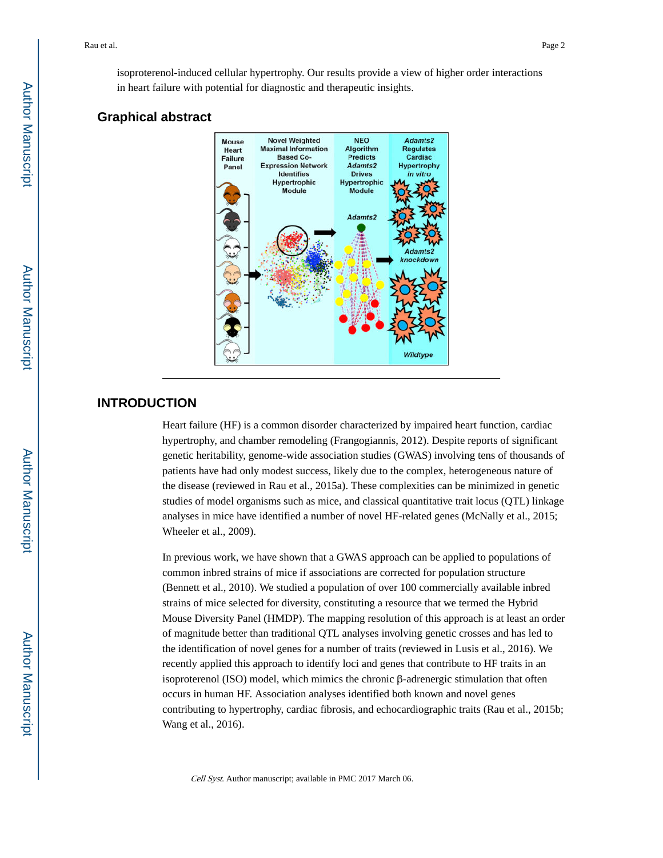isoproterenol-induced cellular hypertrophy. Our results provide a view of higher order interactions in heart failure with potential for diagnostic and therapeutic insights.

### **Graphical abstract**



# **INTRODUCTION**

Heart failure (HF) is a common disorder characterized by impaired heart function, cardiac hypertrophy, and chamber remodeling (Frangogiannis, 2012). Despite reports of significant genetic heritability, genome-wide association studies (GWAS) involving tens of thousands of patients have had only modest success, likely due to the complex, heterogeneous nature of the disease (reviewed in Rau et al., 2015a). These complexities can be minimized in genetic studies of model organisms such as mice, and classical quantitative trait locus (QTL) linkage analyses in mice have identified a number of novel HF-related genes (McNally et al., 2015; Wheeler et al., 2009).

In previous work, we have shown that a GWAS approach can be applied to populations of common inbred strains of mice if associations are corrected for population structure (Bennett et al., 2010). We studied a population of over 100 commercially available inbred strains of mice selected for diversity, constituting a resource that we termed the Hybrid Mouse Diversity Panel (HMDP). The mapping resolution of this approach is at least an order of magnitude better than traditional QTL analyses involving genetic crosses and has led to the identification of novel genes for a number of traits (reviewed in Lusis et al., 2016). We recently applied this approach to identify loci and genes that contribute to HF traits in an isoproterenol (ISO) model, which mimics the chronic β-adrenergic stimulation that often occurs in human HF. Association analyses identified both known and novel genes contributing to hypertrophy, cardiac fibrosis, and echocardiographic traits (Rau et al., 2015b; Wang et al., 2016).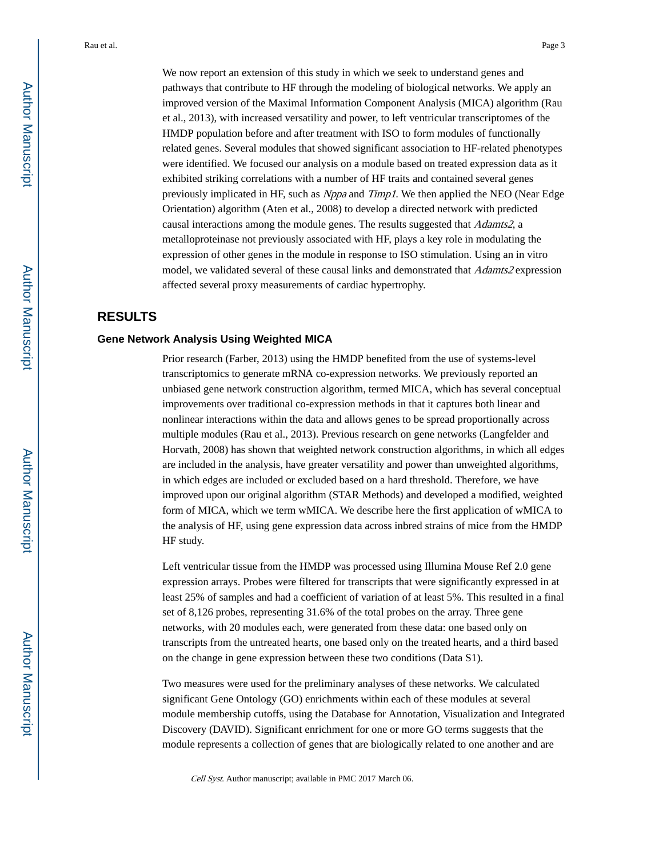We now report an extension of this study in which we seek to understand genes and pathways that contribute to HF through the modeling of biological networks. We apply an improved version of the Maximal Information Component Analysis (MICA) algorithm (Rau et al., 2013), with increased versatility and power, to left ventricular transcriptomes of the HMDP population before and after treatment with ISO to form modules of functionally related genes. Several modules that showed significant association to HF-related phenotypes were identified. We focused our analysis on a module based on treated expression data as it exhibited striking correlations with a number of HF traits and contained several genes previously implicated in HF, such as Nppa and Timp1. We then applied the NEO (Near Edge Orientation) algorithm (Aten et al., 2008) to develop a directed network with predicted causal interactions among the module genes. The results suggested that Adamts2, a metalloproteinase not previously associated with HF, plays a key role in modulating the expression of other genes in the module in response to ISO stimulation. Using an in vitro model, we validated several of these causal links and demonstrated that *Adamts2* expression affected several proxy measurements of cardiac hypertrophy.

# **RESULTS**

### **Gene Network Analysis Using Weighted MICA**

Prior research (Farber, 2013) using the HMDP benefited from the use of systems-level transcriptomics to generate mRNA co-expression networks. We previously reported an unbiased gene network construction algorithm, termed MICA, which has several conceptual improvements over traditional co-expression methods in that it captures both linear and nonlinear interactions within the data and allows genes to be spread proportionally across multiple modules (Rau et al., 2013). Previous research on gene networks (Langfelder and Horvath, 2008) has shown that weighted network construction algorithms, in which all edges are included in the analysis, have greater versatility and power than unweighted algorithms, in which edges are included or excluded based on a hard threshold. Therefore, we have improved upon our original algorithm (STAR Methods) and developed a modified, weighted form of MICA, which we term wMICA. We describe here the first application of wMICA to the analysis of HF, using gene expression data across inbred strains of mice from the HMDP HF study.

Left ventricular tissue from the HMDP was processed using Illumina Mouse Ref 2.0 gene expression arrays. Probes were filtered for transcripts that were significantly expressed in at least 25% of samples and had a coefficient of variation of at least 5%. This resulted in a final set of 8,126 probes, representing 31.6% of the total probes on the array. Three gene networks, with 20 modules each, were generated from these data: one based only on transcripts from the untreated hearts, one based only on the treated hearts, and a third based on the change in gene expression between these two conditions (Data S1).

Two measures were used for the preliminary analyses of these networks. We calculated significant Gene Ontology (GO) enrichments within each of these modules at several module membership cutoffs, using the Database for Annotation, Visualization and Integrated Discovery (DAVID). Significant enrichment for one or more GO terms suggests that the module represents a collection of genes that are biologically related to one another and are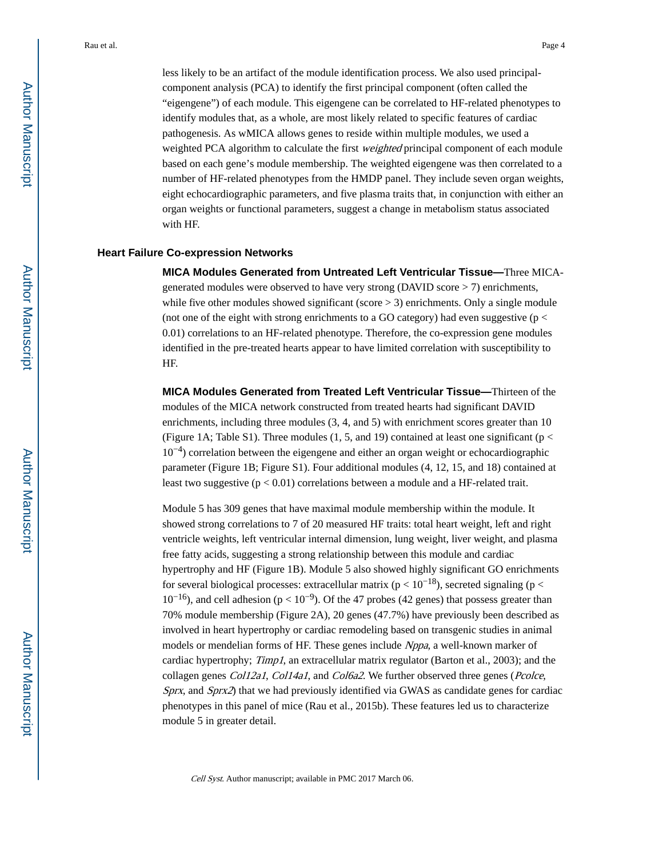less likely to be an artifact of the module identification process. We also used principalcomponent analysis (PCA) to identify the first principal component (often called the "eigengene") of each module. This eigengene can be correlated to HF-related phenotypes to identify modules that, as a whole, are most likely related to specific features of cardiac pathogenesis. As wMICA allows genes to reside within multiple modules, we used a weighted PCA algorithm to calculate the first *weighted* principal component of each module based on each gene's module membership. The weighted eigengene was then correlated to a number of HF-related phenotypes from the HMDP panel. They include seven organ weights, eight echocardiographic parameters, and five plasma traits that, in conjunction with either an organ weights or functional parameters, suggest a change in metabolism status associated

#### with HF.

### **Heart Failure Co-expression Networks**

**MICA Modules Generated from Untreated Left Ventricular Tissue—**Three MICAgenerated modules were observed to have very strong (DAVID score > 7) enrichments, while five other modules showed significant (score  $>$  3) enrichments. Only a single module (not one of the eight with strong enrichments to a GO category) had even suggestive ( $p <$ 0.01) correlations to an HF-related phenotype. Therefore, the co-expression gene modules identified in the pre-treated hearts appear to have limited correlation with susceptibility to HF.

**MICA Modules Generated from Treated Left Ventricular Tissue—**Thirteen of the modules of the MICA network constructed from treated hearts had significant DAVID enrichments, including three modules  $(3, 4,$  and  $5)$  with enrichment scores greater than 10 (Figure 1A; Table S1). Three modules (1, 5, and 19) contained at least one significant ( $p <$  $10^{-4}$ ) correlation between the eigengene and either an organ weight or echocardiographic parameter (Figure 1B; Figure S1). Four additional modules (4, 12, 15, and 18) contained at least two suggestive  $(p < 0.01)$  correlations between a module and a HF-related trait.

Module 5 has 309 genes that have maximal module membership within the module. It showed strong correlations to 7 of 20 measured HF traits: total heart weight, left and right ventricle weights, left ventricular internal dimension, lung weight, liver weight, and plasma free fatty acids, suggesting a strong relationship between this module and cardiac hypertrophy and HF (Figure 1B). Module 5 also showed highly significant GO enrichments for several biological processes: extracellular matrix ( $p < 10^{-18}$ ), secreted signaling ( $p <$  $10^{-16}$ ), and cell adhesion (p <  $10^{-9}$ ). Of the 47 probes (42 genes) that possess greater than 70% module membership (Figure 2A), 20 genes (47.7%) have previously been described as involved in heart hypertrophy or cardiac remodeling based on transgenic studies in animal models or mendelian forms of HF. These genes include Nppa, a well-known marker of cardiac hypertrophy; Timp1, an extracellular matrix regulator (Barton et al., 2003); and the collagen genes *Col12a1*, *Col14a1*, and *Col6a2*. We further observed three genes (*Pcolce*, Sprx, and Sprx2) that we had previously identified via GWAS as candidate genes for cardiac phenotypes in this panel of mice (Rau et al., 2015b). These features led us to characterize module 5 in greater detail.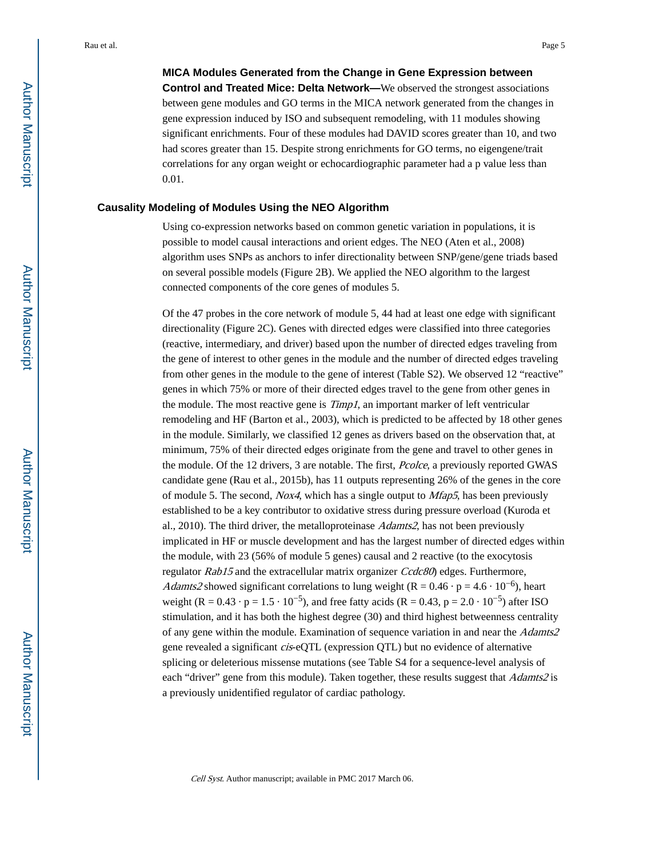**MICA Modules Generated from the Change in Gene Expression between Control and Treated Mice: Delta Network—**We observed the strongest associations between gene modules and GO terms in the MICA network generated from the changes in gene expression induced by ISO and subsequent remodeling, with 11 modules showing significant enrichments. Four of these modules had DAVID scores greater than 10, and two had scores greater than 15. Despite strong enrichments for GO terms, no eigengene/trait correlations for any organ weight or echocardiographic parameter had a p value less than 0.01.

### **Causality Modeling of Modules Using the NEO Algorithm**

Using co-expression networks based on common genetic variation in populations, it is possible to model causal interactions and orient edges. The NEO (Aten et al., 2008) algorithm uses SNPs as anchors to infer directionality between SNP/gene/gene triads based on several possible models (Figure 2B). We applied the NEO algorithm to the largest connected components of the core genes of modules 5.

Of the 47 probes in the core network of module 5, 44 had at least one edge with significant directionality (Figure 2C). Genes with directed edges were classified into three categories (reactive, intermediary, and driver) based upon the number of directed edges traveling from the gene of interest to other genes in the module and the number of directed edges traveling from other genes in the module to the gene of interest (Table S2). We observed 12 "reactive" genes in which 75% or more of their directed edges travel to the gene from other genes in the module. The most reactive gene is *Timp1*, an important marker of left ventricular remodeling and HF (Barton et al., 2003), which is predicted to be affected by 18 other genes in the module. Similarly, we classified 12 genes as drivers based on the observation that, at minimum, 75% of their directed edges originate from the gene and travel to other genes in the module. Of the 12 drivers, 3 are notable. The first, Pcolce, a previously reported GWAS candidate gene (Rau et al., 2015b), has 11 outputs representing 26% of the genes in the core of module 5. The second, Nox4, which has a single output to  $Mfap5$ , has been previously established to be a key contributor to oxidative stress during pressure overload (Kuroda et al., 2010). The third driver, the metalloproteinase  $Adamts2$ , has not been previously implicated in HF or muscle development and has the largest number of directed edges within the module, with 23 (56% of module 5 genes) causal and 2 reactive (to the exocytosis regulator Rab15 and the extracellular matrix organizer Ccdc80) edges. Furthermore, Adamts2 showed significant correlations to lung weight (R =  $0.46 \cdot p = 4.6 \cdot 10^{-6}$ ), heart weight (R =  $0.43 \cdot p = 1.5 \cdot 10^{-5}$ ), and free fatty acids (R =  $0.43$ , p =  $2.0 \cdot 10^{-5}$ ) after ISO stimulation, and it has both the highest degree (30) and third highest betweenness centrality of any gene within the module. Examination of sequence variation in and near the Adamts2 gene revealed a significant cis-eQTL (expression QTL) but no evidence of alternative splicing or deleterious missense mutations (see Table S4 for a sequence-level analysis of each "driver" gene from this module). Taken together, these results suggest that *Adamts2* is a previously unidentified regulator of cardiac pathology.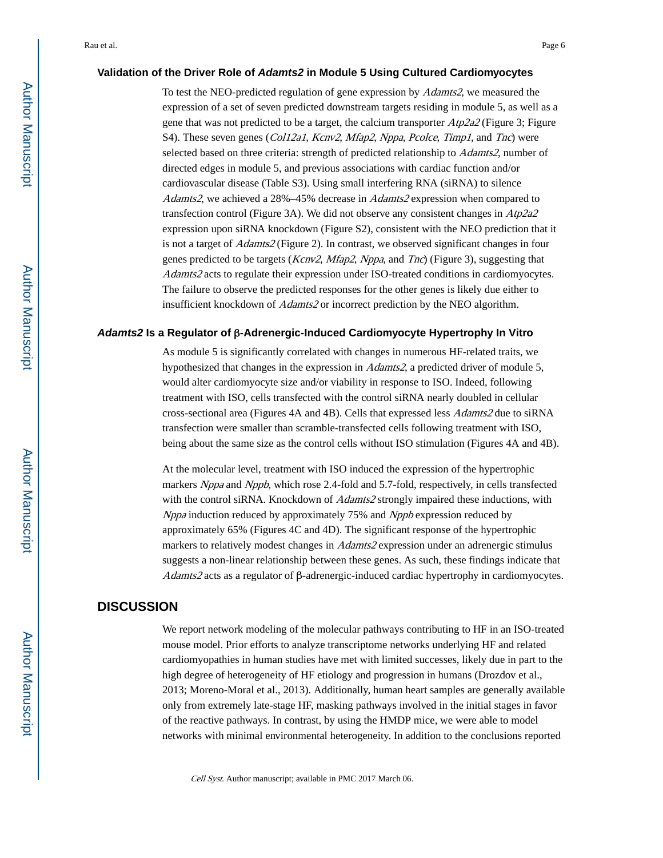### **Validation of the Driver Role of Adamts2 in Module 5 Using Cultured Cardiomyocytes**

To test the NEO-predicted regulation of gene expression by Adamts2, we measured the expression of a set of seven predicted downstream targets residing in module 5, as well as a gene that was not predicted to be a target, the calcium transporter  $Atp2a2$  (Figure 3; Figure S4). These seven genes (Col12a1, Kcnv2, Mfap2, Nppa, Pcolce, Timp1, and Tnc) were selected based on three criteria: strength of predicted relationship to *Adamts2*, number of directed edges in module 5, and previous associations with cardiac function and/or cardiovascular disease (Table S3). Using small interfering RNA (siRNA) to silence Adamts2, we achieved a 28%–45% decrease in Adamts2 expression when compared to transfection control (Figure 3A). We did not observe any consistent changes in Atp2a2 expression upon siRNA knockdown (Figure S2), consistent with the NEO prediction that it is not a target of Adamts2 (Figure 2). In contrast, we observed significant changes in four genes predicted to be targets (Kcnv2, Mfap2, Nppa, and Tnc) (Figure 3), suggesting that Adamts2 acts to regulate their expression under ISO-treated conditions in cardiomyocytes. The failure to observe the predicted responses for the other genes is likely due either to insufficient knockdown of Adamts2 or incorrect prediction by the NEO algorithm.

### **Adamts2 Is a Regulator of** β**-Adrenergic-Induced Cardiomyocyte Hypertrophy In Vitro**

As module 5 is significantly correlated with changes in numerous HF-related traits, we hypothesized that changes in the expression in Adamts2, a predicted driver of module 5, would alter cardiomyocyte size and/or viability in response to ISO. Indeed, following treatment with ISO, cells transfected with the control siRNA nearly doubled in cellular cross-sectional area (Figures 4A and 4B). Cells that expressed less Adamts2 due to siRNA transfection were smaller than scramble-transfected cells following treatment with ISO, being about the same size as the control cells without ISO stimulation (Figures 4A and 4B).

At the molecular level, treatment with ISO induced the expression of the hypertrophic markers Nppa and Nppb, which rose 2.4-fold and 5.7-fold, respectively, in cells transfected with the control siRNA. Knockdown of *Adamts2* strongly impaired these inductions, with Nppa induction reduced by approximately 75% and Nppb expression reduced by approximately 65% (Figures 4C and 4D). The significant response of the hypertrophic markers to relatively modest changes in *Adamts2* expression under an adrenergic stimulus suggests a non-linear relationship between these genes. As such, these findings indicate that Adamts2 acts as a regulator of β-adrenergic-induced cardiac hypertrophy in cardiomyocytes.

# **DISCUSSION**

We report network modeling of the molecular pathways contributing to HF in an ISO-treated mouse model. Prior efforts to analyze transcriptome networks underlying HF and related cardiomyopathies in human studies have met with limited successes, likely due in part to the high degree of heterogeneity of HF etiology and progression in humans (Drozdov et al., 2013; Moreno-Moral et al., 2013). Additionally, human heart samples are generally available only from extremely late-stage HF, masking pathways involved in the initial stages in favor of the reactive pathways. In contrast, by using the HMDP mice, we were able to model networks with minimal environmental heterogeneity. In addition to the conclusions reported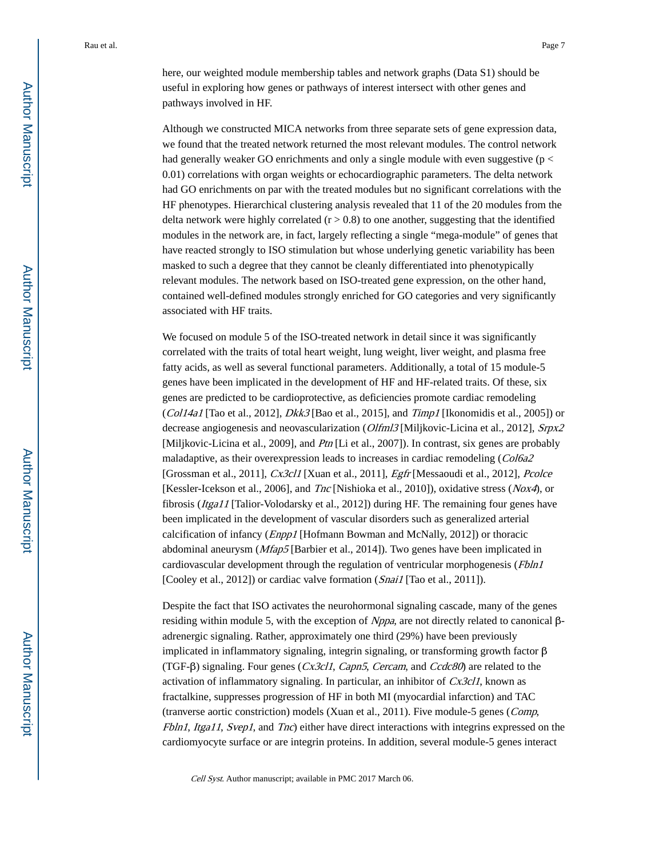here, our weighted module membership tables and network graphs (Data S1) should be useful in exploring how genes or pathways of interest intersect with other genes and pathways involved in HF.

Although we constructed MICA networks from three separate sets of gene expression data, we found that the treated network returned the most relevant modules. The control network had generally weaker GO enrichments and only a single module with even suggestive ( $p <$ 0.01) correlations with organ weights or echocardiographic parameters. The delta network had GO enrichments on par with the treated modules but no significant correlations with the HF phenotypes. Hierarchical clustering analysis revealed that 11 of the 20 modules from the delta network were highly correlated  $(r > 0.8)$  to one another, suggesting that the identified modules in the network are, in fact, largely reflecting a single "mega-module" of genes that have reacted strongly to ISO stimulation but whose underlying genetic variability has been masked to such a degree that they cannot be cleanly differentiated into phenotypically relevant modules. The network based on ISO-treated gene expression, on the other hand, contained well-defined modules strongly enriched for GO categories and very significantly associated with HF traits.

We focused on module 5 of the ISO-treated network in detail since it was significantly correlated with the traits of total heart weight, lung weight, liver weight, and plasma free fatty acids, as well as several functional parameters. Additionally, a total of 15 module-5 genes have been implicated in the development of HF and HF-related traits. Of these, six genes are predicted to be cardioprotective, as deficiencies promote cardiac remodeling (Col14a1 [Tao et al., 2012],  $Dkk3$  [Bao et al., 2015], and Timp1 [Ikonomidis et al., 2005]) or decrease angiogenesis and neovascularization (Olfml3 [Miljkovic-Licina et al., 2012], Srpx2 [Miljkovic-Licina et al., 2009], and *Ptn* [Li et al., 2007]). In contrast, six genes are probably maladaptive, as their overexpression leads to increases in cardiac remodeling (Col6a2 [Grossman et al., 2011], Cx3cl1 [Xuan et al., 2011], Egfr [Messaoudi et al., 2012], Pcolce [Kessler-Icekson et al., 2006], and *Tnc* [Nishioka et al., 2010]), oxidative stress (*Nox4*), or fibrosis (Itga11 [Talior-Volodarsky et al., 2012]) during HF. The remaining four genes have been implicated in the development of vascular disorders such as generalized arterial calcification of infancy (Enpp1 [Hofmann Bowman and McNally, 2012]) or thoracic abdominal aneurysm (Mfap5 [Barbier et al., 2014]). Two genes have been implicated in cardiovascular development through the regulation of ventricular morphogenesis (Fbln1) [Cooley et al., 2012]) or cardiac valve formation (*Snai1* [Tao et al., 2011]).

Despite the fact that ISO activates the neurohormonal signaling cascade, many of the genes residing within module 5, with the exception of Nppa, are not directly related to canonical βadrenergic signaling. Rather, approximately one third (29%) have been previously implicated in inflammatory signaling, integrin signaling, or transforming growth factor β (TGF- $\beta$ ) signaling. Four genes (*Cx3cl1*, *Capn5*, *Cercam*, and *Ccdc80*) are related to the activation of inflammatory signaling. In particular, an inhibitor of Cx3cl1, known as fractalkine, suppresses progression of HF in both MI (myocardial infarction) and TAC (tranverse aortic constriction) models (Xuan et al., 2011). Five module-5 genes (Comp, Fbln1, Itga11, Svep1, and Tnc) either have direct interactions with integrins expressed on the cardiomyocyte surface or are integrin proteins. In addition, several module-5 genes interact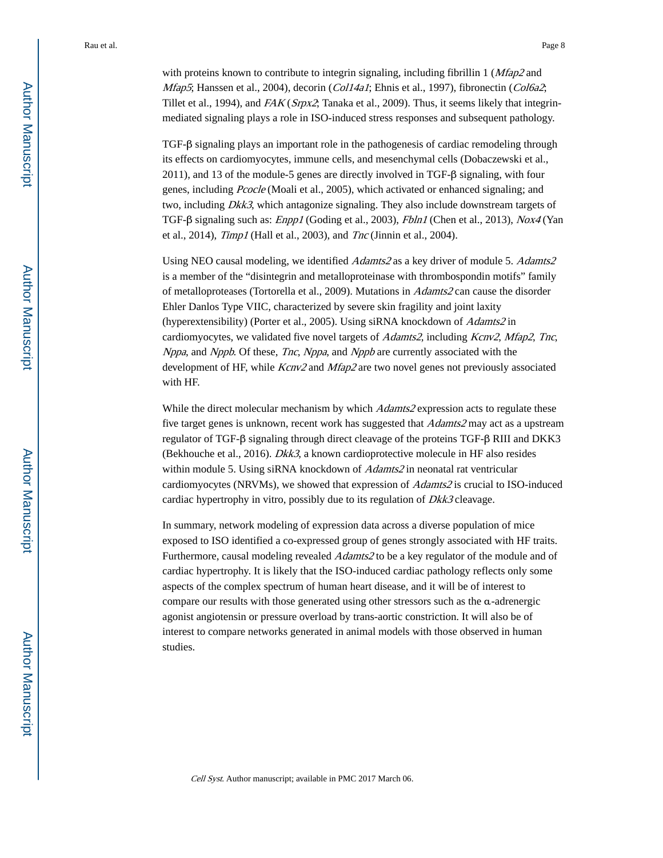with proteins known to contribute to integrin signaling, including fibrillin  $1 \left(M \frac{fap}{2} \right)$  and Mfap5; Hanssen et al., 2004), decorin (Col14a1; Ehnis et al., 1997), fibronectin (Col6a2; Tillet et al., 1994), and  $FAK (Srpx2)$ , Tanaka et al., 2009). Thus, it seems likely that integrinmediated signaling plays a role in ISO-induced stress responses and subsequent pathology.

TGF-β signaling plays an important role in the pathogenesis of cardiac remodeling through its effects on cardiomyocytes, immune cells, and mesenchymal cells (Dobaczewski et al., 2011), and 13 of the module-5 genes are directly involved in TGF-β signaling, with four genes, including Pcocle (Moali et al., 2005), which activated or enhanced signaling; and two, including *Dkk3*, which antagonize signaling. They also include downstream targets of TGF-β signaling such as: Enpp1 (Goding et al., 2003), Fbln1 (Chen et al., 2013), Nox4 (Yan et al., 2014), Timp1 (Hall et al., 2003), and Tnc (Jinnin et al., 2004).

Using NEO causal modeling, we identified Adamts2 as a key driver of module 5. Adamts2 is a member of the "disintegrin and metalloproteinase with thrombospondin motifs" family of metalloproteases (Tortorella et al., 2009). Mutations in Adamts2 can cause the disorder Ehler Danlos Type VIIC, characterized by severe skin fragility and joint laxity (hyperextensibility) (Porter et al., 2005). Using siRNA knockdown of Adamts2 in cardiomyocytes, we validated five novel targets of *Adamts2*, including *Kcnv2*, *Mfap2*, *Tnc*, Nppa, and Nppb. Of these, Tnc, Nppa, and Nppb are currently associated with the development of HF, while Kcnv2 and Mfap2 are two novel genes not previously associated with HF.

While the direct molecular mechanism by which *Adamts2* expression acts to regulate these five target genes is unknown, recent work has suggested that Adamts2 may act as a upstream regulator of TGF-β signaling through direct cleavage of the proteins TGF-β RIII and DKK3 (Bekhouche et al., 2016). Dkk3, a known cardioprotective molecule in HF also resides within module 5. Using siRNA knockdown of *Adamts2* in neonatal rat ventricular cardiomyocytes (NRVMs), we showed that expression of Adamts2 is crucial to ISO-induced cardiac hypertrophy in vitro, possibly due to its regulation of *Dkk3* cleavage.

In summary, network modeling of expression data across a diverse population of mice exposed to ISO identified a co-expressed group of genes strongly associated with HF traits. Furthermore, causal modeling revealed Adamts2 to be a key regulator of the module and of cardiac hypertrophy. It is likely that the ISO-induced cardiac pathology reflects only some aspects of the complex spectrum of human heart disease, and it will be of interest to compare our results with those generated using other stressors such as the α-adrenergic agonist angiotensin or pressure overload by trans-aortic constriction. It will also be of interest to compare networks generated in animal models with those observed in human studies.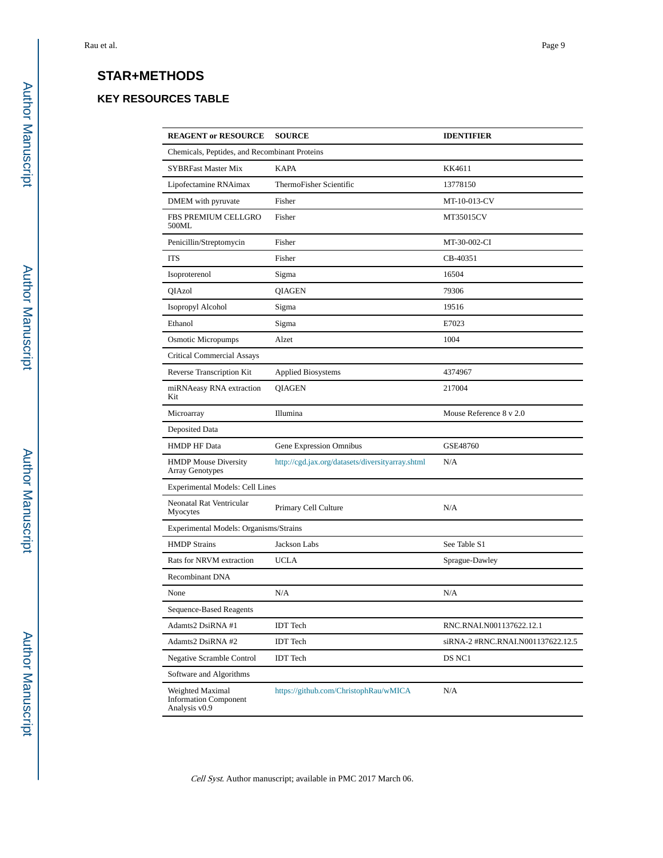# **STAR+METHODS**

# **KEY RESOURCES TABLE**

| <b>REAGENT or RESOURCE</b>                                        | <b>SOURCE</b>                                    | <b>IDENTIFIER</b>                 |  |
|-------------------------------------------------------------------|--------------------------------------------------|-----------------------------------|--|
| Chemicals, Peptides, and Recombinant Proteins                     |                                                  |                                   |  |
| <b>SYBRFast Master Mix</b>                                        | <b>KAPA</b>                                      | KK4611                            |  |
| Lipofectamine RNAimax                                             | ThermoFisher Scientific                          | 13778150                          |  |
| DMEM with pyruvate                                                | Fisher                                           | MT-10-013-CV                      |  |
| FBS PREMIUM CELLGRO<br>500ML                                      | Fisher                                           | MT35015CV                         |  |
| Penicillin/Streptomycin                                           | Fisher                                           | MT-30-002-CI                      |  |
| <b>ITS</b>                                                        | Fisher                                           | CB-40351                          |  |
| Isoproterenol                                                     | Sigma                                            | 16504                             |  |
| QIAzol                                                            | <b>QIAGEN</b>                                    | 79306                             |  |
| Isopropyl Alcohol                                                 | Sigma                                            | 19516                             |  |
| Ethanol                                                           | Sigma                                            | E7023                             |  |
| <b>Osmotic Micropumps</b>                                         | Alzet                                            | 1004                              |  |
| <b>Critical Commercial Assays</b>                                 |                                                  |                                   |  |
| Reverse Transcription Kit                                         | <b>Applied Biosystems</b>                        | 4374967                           |  |
| miRNAeasy RNA extraction<br>Kit                                   | <b>QIAGEN</b>                                    | 217004                            |  |
| Microarray                                                        | Illumina                                         | Mouse Reference 8 v 2.0           |  |
| Deposited Data                                                    |                                                  |                                   |  |
| <b>HMDP HF Data</b>                                               | Gene Expression Omnibus                          | GSE48760                          |  |
| <b>HMDP</b> Mouse Diversity<br>Array Genotypes                    | http://cgd.jax.org/datasets/diversityarray.shtml | N/A                               |  |
| Experimental Models: Cell Lines                                   |                                                  |                                   |  |
| Neonatal Rat Ventricular<br>Myocytes                              | Primary Cell Culture                             | N/A                               |  |
| Experimental Models: Organisms/Strains                            |                                                  |                                   |  |
| <b>HMDP Strains</b>                                               | Jackson Labs                                     | See Table S1                      |  |
| Rats for NRVM extraction                                          | <b>UCLA</b>                                      | Sprague-Dawley                    |  |
| Recombinant DNA                                                   |                                                  |                                   |  |
| None                                                              | N/A                                              | N/A                               |  |
| Sequence-Based Reagents                                           |                                                  |                                   |  |
| Adamts2 DsiRNA #1                                                 | <b>IDT</b> Tech                                  | RNC.RNAI.N001137622.12.1          |  |
| Adamts2 DsiRNA #2                                                 | <b>IDT</b> Tech                                  | siRNA-2 #RNC.RNAI.N001137622.12.5 |  |
| <b>Negative Scramble Control</b>                                  | <b>IDT</b> Tech                                  | DS NC1                            |  |
| Software and Algorithms                                           |                                                  |                                   |  |
| Weighted Maximal<br><b>Information Component</b><br>Analysis v0.9 | https://github.com/ChristophRau/wMICA            | N/A                               |  |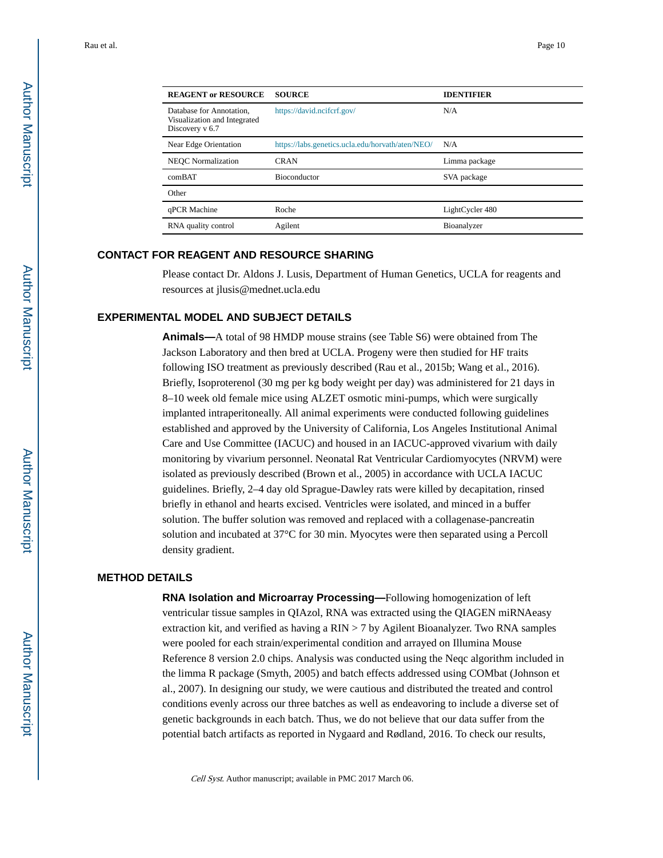| <b>REAGENT or RESOURCE</b>                                                    | <b>SOURCE</b>                                    | <b>IDENTIFIER</b> |
|-------------------------------------------------------------------------------|--------------------------------------------------|-------------------|
| Database for Annotation,<br>Visualization and Integrated<br>Discovery $v$ 6.7 | https://david.ncifcrf.gov/                       | N/A               |
| Near Edge Orientation                                                         | https://labs.genetics.ucla.edu/horvath/aten/NEO/ | N/A               |
| <b>NEOC</b> Normalization                                                     | <b>CRAN</b>                                      | Limma package     |
| comBAT                                                                        | <b>Bioconductor</b>                              | SVA package       |
| Other                                                                         |                                                  |                   |
| qPCR Machine                                                                  | Roche                                            | LightCycler 480   |
| RNA quality control                                                           | Agilent                                          | Bioanalyzer       |

### **CONTACT FOR REAGENT AND RESOURCE SHARING**

Please contact Dr. Aldons J. Lusis, Department of Human Genetics, UCLA for reagents and resources at jlusis@mednet.ucla.edu

### **EXPERIMENTAL MODEL AND SUBJECT DETAILS**

**Animals—**A total of 98 HMDP mouse strains (see Table S6) were obtained from The Jackson Laboratory and then bred at UCLA. Progeny were then studied for HF traits following ISO treatment as previously described (Rau et al., 2015b; Wang et al., 2016). Briefly, Isoproterenol (30 mg per kg body weight per day) was administered for 21 days in 8–10 week old female mice using ALZET osmotic mini-pumps, which were surgically implanted intraperitoneally. All animal experiments were conducted following guidelines established and approved by the University of California, Los Angeles Institutional Animal Care and Use Committee (IACUC) and housed in an IACUC-approved vivarium with daily monitoring by vivarium personnel. Neonatal Rat Ventricular Cardiomyocytes (NRVM) were isolated as previously described (Brown et al., 2005) in accordance with UCLA IACUC guidelines. Briefly, 2–4 day old Sprague-Dawley rats were killed by decapitation, rinsed briefly in ethanol and hearts excised. Ventricles were isolated, and minced in a buffer solution. The buffer solution was removed and replaced with a collagenase-pancreatin solution and incubated at 37°C for 30 min. Myocytes were then separated using a Percoll density gradient.

### **METHOD DETAILS**

**RNA Isolation and Microarray Processing—**Following homogenization of left ventricular tissue samples in QIAzol, RNA was extracted using the QIAGEN miRNAeasy extraction kit, and verified as having a  $RIN > 7$  by Agilent Bioanalyzer. Two RNA samples were pooled for each strain/experimental condition and arrayed on Illumina Mouse Reference 8 version 2.0 chips. Analysis was conducted using the Neqc algorithm included in the limma R package (Smyth, 2005) and batch effects addressed using COMbat (Johnson et al., 2007). In designing our study, we were cautious and distributed the treated and control conditions evenly across our three batches as well as endeavoring to include a diverse set of genetic backgrounds in each batch. Thus, we do not believe that our data suffer from the potential batch artifacts as reported in Nygaard and Rødland, 2016. To check our results,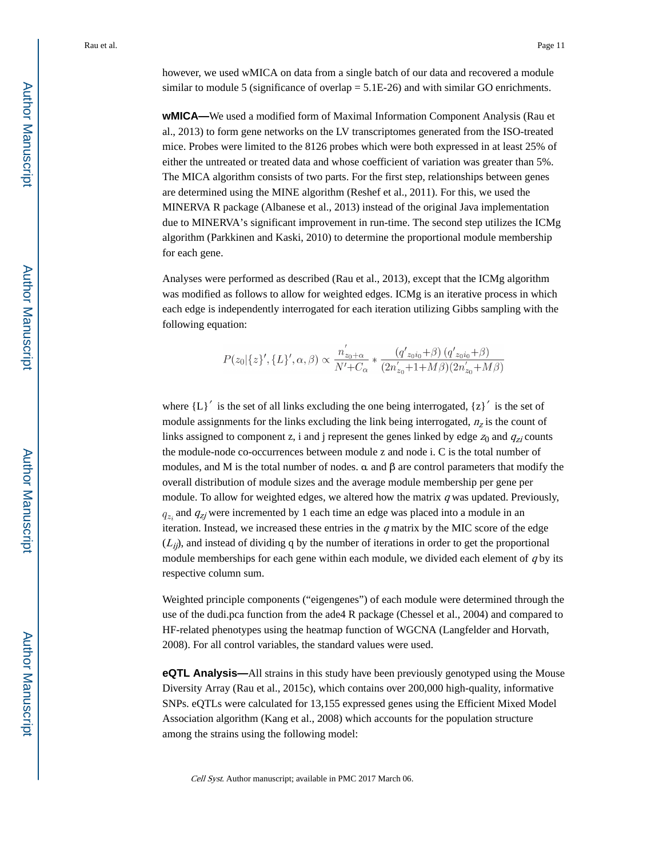however, we used wMICA on data from a single batch of our data and recovered a module similar to module 5 (significance of overlap  $= 5.1E-26$ ) and with similar GO enrichments.

**wMICA—**We used a modified form of Maximal Information Component Analysis (Rau et al., 2013) to form gene networks on the LV transcriptomes generated from the ISO-treated mice. Probes were limited to the 8126 probes which were both expressed in at least 25% of either the untreated or treated data and whose coefficient of variation was greater than 5%. The MICA algorithm consists of two parts. For the first step, relationships between genes are determined using the MINE algorithm (Reshef et al., 2011). For this, we used the MINERVA R package (Albanese et al., 2013) instead of the original Java implementation due to MINERVA's significant improvement in run-time. The second step utilizes the ICMg algorithm (Parkkinen and Kaski, 2010) to determine the proportional module membership for each gene.

Analyses were performed as described (Rau et al., 2013), except that the ICMg algorithm was modified as follows to allow for weighted edges. ICMg is an iterative process in which each edge is independently interrogated for each iteration utilizing Gibbs sampling with the following equation:

$$
P(z_0|\{z\}',\{L\}',\alpha,\beta) \propto \frac{n'_{z_0+\alpha}}{N'+C_{\alpha}} * \frac{(q'_{z_0i_0}+\beta) (q'_{z_0i_0}+\beta)}{(2n'_{z_0}+1+M\beta)(2n'_{z_0}+M\beta)}
$$

where  ${L}^{\prime}$  is the set of all links excluding the one being interrogated,  ${z}^{\prime}$  is the set of module assignments for the links excluding the link being interrogated,  $n<sub>z</sub>$  is the count of links assigned to component z, i and j represent the genes linked by edge  $z_0$  and  $q_{zi}$  counts the module-node co-occurrences between module z and node i. C is the total number of modules, and M is the total number of nodes.  $\alpha$  and  $\beta$  are control parameters that modify the overall distribution of module sizes and the average module membership per gene per module. To allow for weighted edges, we altered how the matrix  $q$  was updated. Previously, and  $q_{zj}$  were incremented by 1 each time an edge was placed into a module in an iteration. Instead, we increased these entries in the  $q$  matrix by the MIC score of the edge  $(L_{ij})$ , and instead of dividing q by the number of iterations in order to get the proportional module memberships for each gene within each module, we divided each element of  $q$  by its respective column sum.

Weighted principle components ("eigengenes") of each module were determined through the use of the dudi.pca function from the ade4 R package (Chessel et al., 2004) and compared to HF-related phenotypes using the heatmap function of WGCNA (Langfelder and Horvath, 2008). For all control variables, the standard values were used.

**eQTL Analysis—**All strains in this study have been previously genotyped using the Mouse Diversity Array (Rau et al., 2015c), which contains over 200,000 high-quality, informative SNPs. eQTLs were calculated for 13,155 expressed genes using the Efficient Mixed Model Association algorithm (Kang et al., 2008) which accounts for the population structure among the strains using the following model: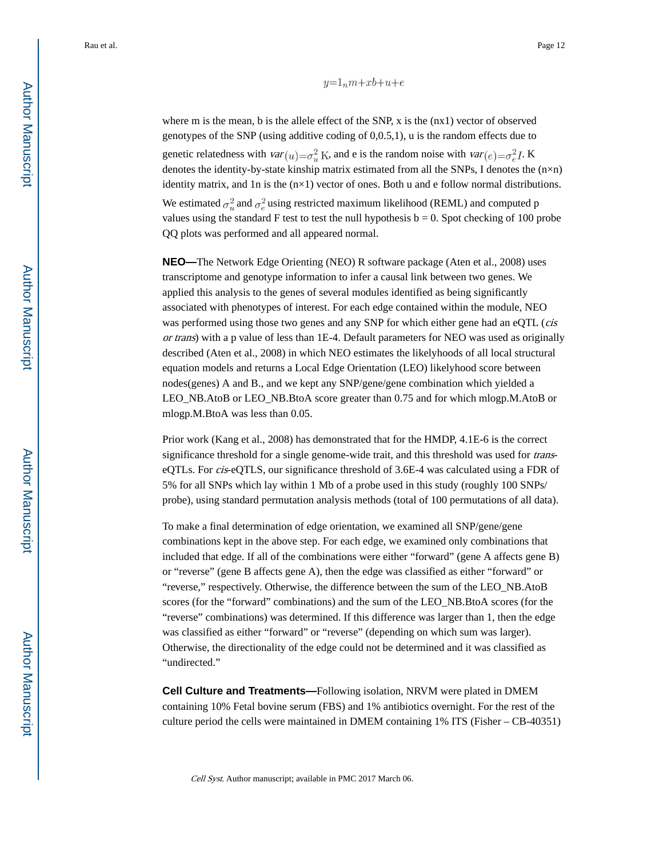$y=1nm+xb+u+e$ 

where m is the mean, b is the allele effect of the SNP,  $x$  is the  $(nx1)$  vector of observed genotypes of the SNP (using additive coding of 0,0.5,1), u is the random effects due to genetic relatedness with  $var(u) = \sigma_u^2 K$ , and e is the random noise with  $var(e) = \sigma_e^2 I$ . K denotes the identity-by-state kinship matrix estimated from all the SNPs, I denotes the (n×n) identity matrix, and 1n is the  $(n\times1)$  vector of ones. Both u and e follow normal distributions. We estimated  $\sigma_n^2$  and  $\sigma_e^2$  using restricted maximum likelihood (REML) and computed p values using the standard F test to test the null hypothesis  $b = 0$ . Spot checking of 100 probe QQ plots was performed and all appeared normal.

**NEO—**The Network Edge Orienting (NEO) R software package (Aten et al., 2008) uses transcriptome and genotype information to infer a causal link between two genes. We applied this analysis to the genes of several modules identified as being significantly associated with phenotypes of interest. For each edge contained within the module, NEO was performed using those two genes and any SNP for which either gene had an eQTL (*cis* or trans) with a p value of less than 1E-4. Default parameters for NEO was used as originally described (Aten et al., 2008) in which NEO estimates the likelyhoods of all local structural equation models and returns a Local Edge Orientation (LEO) likelyhood score between nodes(genes) A and B., and we kept any SNP/gene/gene combination which yielded a LEO\_NB.AtoB or LEO\_NB.BtoA score greater than 0.75 and for which mlogp.M.AtoB or mlogp.M.BtoA was less than 0.05.

Prior work (Kang et al., 2008) has demonstrated that for the HMDP, 4.1E-6 is the correct significance threshold for a single genome-wide trait, and this threshold was used for transeQTLs. For cis-eQTLS, our significance threshold of 3.6E-4 was calculated using a FDR of 5% for all SNPs which lay within 1 Mb of a probe used in this study (roughly 100 SNPs/ probe), using standard permutation analysis methods (total of 100 permutations of all data).

To make a final determination of edge orientation, we examined all SNP/gene/gene combinations kept in the above step. For each edge, we examined only combinations that included that edge. If all of the combinations were either "forward" (gene A affects gene B) or "reverse" (gene B affects gene A), then the edge was classified as either "forward" or "reverse," respectively. Otherwise, the difference between the sum of the LEO\_NB.AtoB scores (for the "forward" combinations) and the sum of the LEO\_NB.BtoA scores (for the "reverse" combinations) was determined. If this difference was larger than 1, then the edge was classified as either "forward" or "reverse" (depending on which sum was larger). Otherwise, the directionality of the edge could not be determined and it was classified as "undirected."

**Cell Culture and Treatments—**Following isolation, NRVM were plated in DMEM containing 10% Fetal bovine serum (FBS) and 1% antibiotics overnight. For the rest of the culture period the cells were maintained in DMEM containing 1% ITS (Fisher – CB-40351)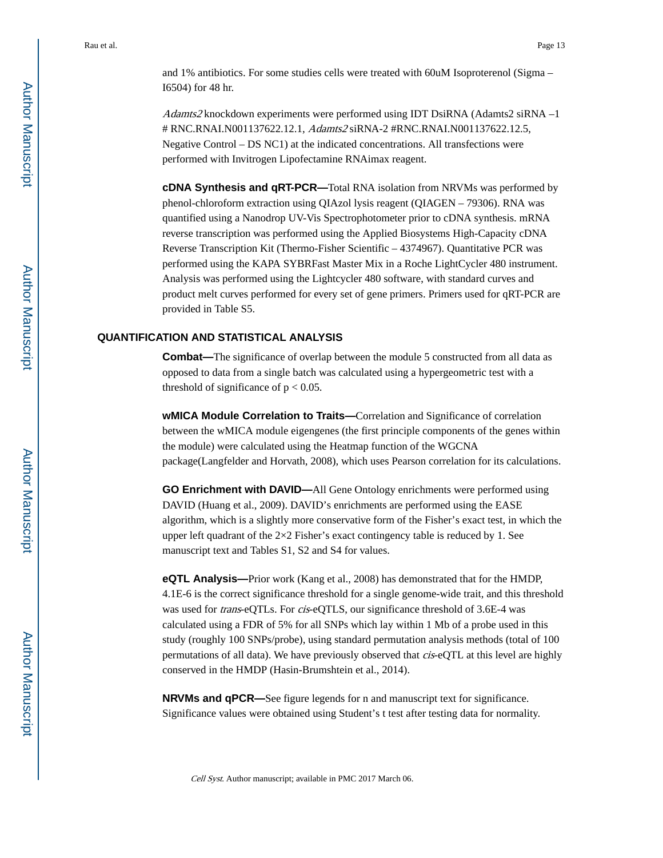and 1% antibiotics. For some studies cells were treated with 60uM Isoproterenol (Sigma – I6504) for 48 hr.

Adamts2 knockdown experiments were performed using IDT DsiRNA (Adamts2 siRNA –1) # RNC.RNAI.N001137622.12.1, Adamts2 siRNA-2 #RNC.RNAI.N001137622.12.5, Negative Control – DS NC1) at the indicated concentrations. All transfections were performed with Invitrogen Lipofectamine RNAimax reagent.

**cDNA Synthesis and qRT-PCR—**Total RNA isolation from NRVMs was performed by phenol-chloroform extraction using QIAzol lysis reagent (QIAGEN – 79306). RNA was quantified using a Nanodrop UV-Vis Spectrophotometer prior to cDNA synthesis. mRNA reverse transcription was performed using the Applied Biosystems High-Capacity cDNA Reverse Transcription Kit (Thermo-Fisher Scientific – 4374967). Quantitative PCR was performed using the KAPA SYBRFast Master Mix in a Roche LightCycler 480 instrument. Analysis was performed using the Lightcycler 480 software, with standard curves and product melt curves performed for every set of gene primers. Primers used for qRT-PCR are provided in Table S5.

### **QUANTIFICATION AND STATISTICAL ANALYSIS**

**Combat—**The significance of overlap between the module 5 constructed from all data as opposed to data from a single batch was calculated using a hypergeometric test with a threshold of significance of  $p < 0.05$ .

**wMICA Module Correlation to Traits—**Correlation and Significance of correlation between the wMICA module eigengenes (the first principle components of the genes within the module) were calculated using the Heatmap function of the WGCNA package(Langfelder and Horvath, 2008), which uses Pearson correlation for its calculations.

**GO Enrichment with DAVID—**All Gene Ontology enrichments were performed using DAVID (Huang et al., 2009). DAVID's enrichments are performed using the EASE algorithm, which is a slightly more conservative form of the Fisher's exact test, in which the upper left quadrant of the  $2\times 2$  Fisher's exact contingency table is reduced by 1. See manuscript text and Tables S1, S2 and S4 for values.

**eQTL Analysis—**Prior work (Kang et al., 2008) has demonstrated that for the HMDP, 4.1E-6 is the correct significance threshold for a single genome-wide trait, and this threshold was used for trans-eQTLs. For cis-eQTLS, our significance threshold of 3.6E-4 was calculated using a FDR of 5% for all SNPs which lay within 1 Mb of a probe used in this study (roughly 100 SNPs/probe), using standard permutation analysis methods (total of 100 permutations of all data). We have previously observed that cis-eQTL at this level are highly conserved in the HMDP (Hasin-Brumshtein et al., 2014).

**NRVMs and qPCR—**See figure legends for n and manuscript text for significance. Significance values were obtained using Student's t test after testing data for normality.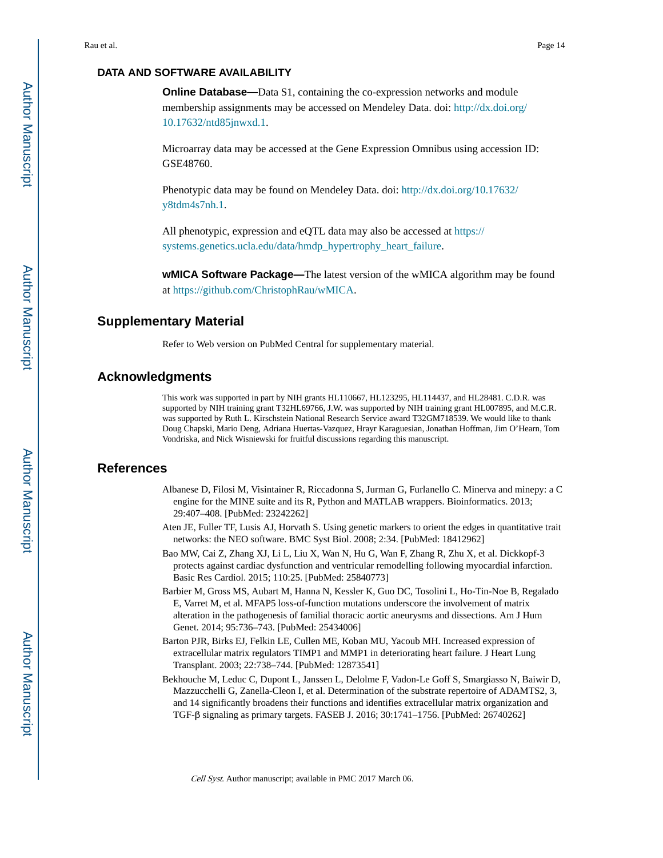# **DATA AND SOFTWARE AVAILABILITY**

**Online Database—**Data S1, containing the co-expression networks and module membership assignments may be accessed on Mendeley Data. doi: [http://dx.doi.org/](http://dx.doi.org/10.17632/ntd85jnwxd.1) [10.17632/ntd85jnwxd.1.](http://dx.doi.org/10.17632/ntd85jnwxd.1)

Microarray data may be accessed at the Gene Expression Omnibus using accession ID: GSE48760.

Phenotypic data may be found on Mendeley Data. doi: [http://dx.doi.org/10.17632/](http://dx.doi.org/10.17632/y8tdm4s7nh.1) [y8tdm4s7nh.1.](http://dx.doi.org/10.17632/y8tdm4s7nh.1)

All phenotypic, expression and eQTL data may also be accessed at [https://](https://systems.genetics.ucla.edu/data/hmdp_hypertrophy_heart_failure) [systems.genetics.ucla.edu/data/hmdp\\_hypertrophy\\_heart\\_failure.](https://systems.genetics.ucla.edu/data/hmdp_hypertrophy_heart_failure)

**wMICA Software Package—**The latest version of the wMICA algorithm may be found at [https://github.com/ChristophRau/wMICA.](https://github.com/ChristophRau/wMICA)

# **Supplementary Material**

Refer to Web version on PubMed Central for supplementary material.

### **Acknowledgments**

This work was supported in part by NIH grants HL110667, HL123295, HL114437, and HL28481. C.D.R. was supported by NIH training grant T32HL69766, J.W. was supported by NIH training grant HL007895, and M.C.R. was supported by Ruth L. Kirschstein National Research Service award T32GM718539. We would like to thank Doug Chapski, Mario Deng, Adriana Huertas-Vazquez, Hrayr Karaguesian, Jonathan Hoffman, Jim O'Hearn, Tom Vondriska, and Nick Wisniewski for fruitful discussions regarding this manuscript.

### **References**

- Albanese D, Filosi M, Visintainer R, Riccadonna S, Jurman G, Furlanello C. Minerva and minepy: a C engine for the MINE suite and its R, Python and MATLAB wrappers. Bioinformatics. 2013; 29:407–408. [PubMed: 23242262]
- Aten JE, Fuller TF, Lusis AJ, Horvath S. Using genetic markers to orient the edges in quantitative trait networks: the NEO software. BMC Syst Biol. 2008; 2:34. [PubMed: 18412962]
- Bao MW, Cai Z, Zhang XJ, Li L, Liu X, Wan N, Hu G, Wan F, Zhang R, Zhu X, et al. Dickkopf-3 protects against cardiac dysfunction and ventricular remodelling following myocardial infarction. Basic Res Cardiol. 2015; 110:25. [PubMed: 25840773]
- Barbier M, Gross MS, Aubart M, Hanna N, Kessler K, Guo DC, Tosolini L, Ho-Tin-Noe B, Regalado E, Varret M, et al. MFAP5 loss-of-function mutations underscore the involvement of matrix alteration in the pathogenesis of familial thoracic aortic aneurysms and dissections. Am J Hum Genet. 2014; 95:736–743. [PubMed: 25434006]
- Barton PJR, Birks EJ, Felkin LE, Cullen ME, Koban MU, Yacoub MH. Increased expression of extracellular matrix regulators TIMP1 and MMP1 in deteriorating heart failure. J Heart Lung Transplant. 2003; 22:738–744. [PubMed: 12873541]
- Bekhouche M, Leduc C, Dupont L, Janssen L, Delolme F, Vadon-Le Goff S, Smargiasso N, Baiwir D, Mazzucchelli G, Zanella-Cleon I, et al. Determination of the substrate repertoire of ADAMTS2, 3, and 14 significantly broadens their functions and identifies extracellular matrix organization and TGF-β signaling as primary targets. FASEB J. 2016; 30:1741–1756. [PubMed: 26740262]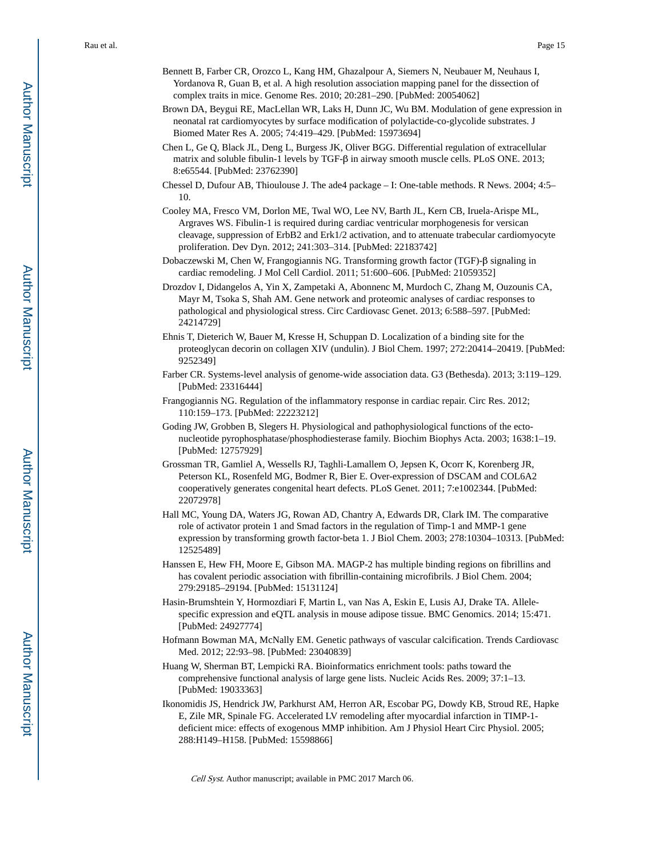- Bennett B, Farber CR, Orozco L, Kang HM, Ghazalpour A, Siemers N, Neubauer M, Neuhaus I, Yordanova R, Guan B, et al. A high resolution association mapping panel for the dissection of complex traits in mice. Genome Res. 2010; 20:281–290. [PubMed: 20054062]
- Brown DA, Beygui RE, MacLellan WR, Laks H, Dunn JC, Wu BM. Modulation of gene expression in neonatal rat cardiomyocytes by surface modification of polylactide-co-glycolide substrates. J Biomed Mater Res A. 2005; 74:419–429. [PubMed: 15973694]
- Chen L, Ge Q, Black JL, Deng L, Burgess JK, Oliver BGG. Differential regulation of extracellular matrix and soluble fibulin-1 levels by TGF-β in airway smooth muscle cells. PLoS ONE. 2013; 8:e65544. [PubMed: 23762390]
- Chessel D, Dufour AB, Thioulouse J. The ade4 package I: One-table methods. R News. 2004; 4:5– 10.
- Cooley MA, Fresco VM, Dorlon ME, Twal WO, Lee NV, Barth JL, Kern CB, Iruela-Arispe ML, Argraves WS. Fibulin-1 is required during cardiac ventricular morphogenesis for versican cleavage, suppression of ErbB2 and Erk1/2 activation, and to attenuate trabecular cardiomyocyte proliferation. Dev Dyn. 2012; 241:303–314. [PubMed: 22183742]
- Dobaczewski M, Chen W, Frangogiannis NG. Transforming growth factor (TGF)-β signaling in cardiac remodeling. J Mol Cell Cardiol. 2011; 51:600–606. [PubMed: 21059352]
- Drozdov I, Didangelos A, Yin X, Zampetaki A, Abonnenc M, Murdoch C, Zhang M, Ouzounis CA, Mayr M, Tsoka S, Shah AM. Gene network and proteomic analyses of cardiac responses to pathological and physiological stress. Circ Cardiovasc Genet. 2013; 6:588–597. [PubMed: 24214729]
- Ehnis T, Dieterich W, Bauer M, Kresse H, Schuppan D. Localization of a binding site for the proteoglycan decorin on collagen XIV (undulin). J Biol Chem. 1997; 272:20414–20419. [PubMed: 9252349]
- Farber CR. Systems-level analysis of genome-wide association data. G3 (Bethesda). 2013; 3:119–129. [PubMed: 23316444]
- Frangogiannis NG. Regulation of the inflammatory response in cardiac repair. Circ Res. 2012; 110:159–173. [PubMed: 22223212]
- Goding JW, Grobben B, Slegers H. Physiological and pathophysiological functions of the ectonucleotide pyrophosphatase/phosphodiesterase family. Biochim Biophys Acta. 2003; 1638:1–19. [PubMed: 12757929]
- Grossman TR, Gamliel A, Wessells RJ, Taghli-Lamallem O, Jepsen K, Ocorr K, Korenberg JR, Peterson KL, Rosenfeld MG, Bodmer R, Bier E. Over-expression of DSCAM and COL6A2 cooperatively generates congenital heart defects. PLoS Genet. 2011; 7:e1002344. [PubMed: 22072978]
- Hall MC, Young DA, Waters JG, Rowan AD, Chantry A, Edwards DR, Clark IM. The comparative role of activator protein 1 and Smad factors in the regulation of Timp-1 and MMP-1 gene expression by transforming growth factor-beta 1. J Biol Chem. 2003; 278:10304–10313. [PubMed: 12525489]
- Hanssen E, Hew FH, Moore E, Gibson MA. MAGP-2 has multiple binding regions on fibrillins and has covalent periodic association with fibrillin-containing microfibrils. J Biol Chem. 2004; 279:29185–29194. [PubMed: 15131124]
- Hasin-Brumshtein Y, Hormozdiari F, Martin L, van Nas A, Eskin E, Lusis AJ, Drake TA. Allelespecific expression and eQTL analysis in mouse adipose tissue. BMC Genomics. 2014; 15:471. [PubMed: 24927774]
- Hofmann Bowman MA, McNally EM. Genetic pathways of vascular calcification. Trends Cardiovasc Med. 2012; 22:93–98. [PubMed: 23040839]
- Huang W, Sherman BT, Lempicki RA. Bioinformatics enrichment tools: paths toward the comprehensive functional analysis of large gene lists. Nucleic Acids Res. 2009; 37:1–13. [PubMed: 19033363]
- Ikonomidis JS, Hendrick JW, Parkhurst AM, Herron AR, Escobar PG, Dowdy KB, Stroud RE, Hapke E, Zile MR, Spinale FG. Accelerated LV remodeling after myocardial infarction in TIMP-1 deficient mice: effects of exogenous MMP inhibition. Am J Physiol Heart Circ Physiol. 2005; 288:H149–H158. [PubMed: 15598866]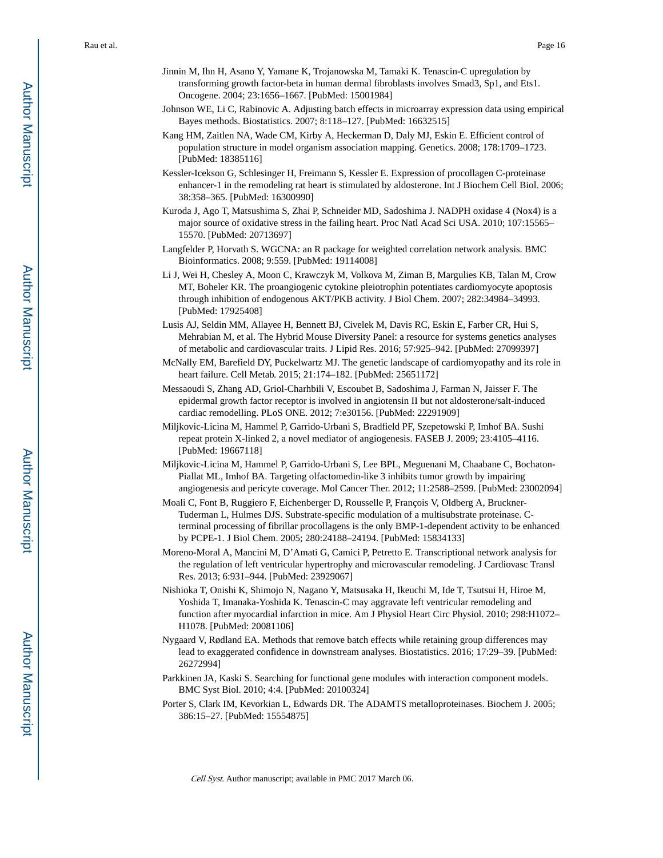- Jinnin M, Ihn H, Asano Y, Yamane K, Trojanowska M, Tamaki K. Tenascin-C upregulation by transforming growth factor-beta in human dermal fibroblasts involves Smad3, Sp1, and Ets1. Oncogene. 2004; 23:1656–1667. [PubMed: 15001984]
- Johnson WE, Li C, Rabinovic A. Adjusting batch effects in microarray expression data using empirical Bayes methods. Biostatistics. 2007; 8:118–127. [PubMed: 16632515]
- Kang HM, Zaitlen NA, Wade CM, Kirby A, Heckerman D, Daly MJ, Eskin E. Efficient control of population structure in model organism association mapping. Genetics. 2008; 178:1709–1723. [PubMed: 18385116]
- Kessler-Icekson G, Schlesinger H, Freimann S, Kessler E. Expression of procollagen C-proteinase enhancer-1 in the remodeling rat heart is stimulated by aldosterone. Int J Biochem Cell Biol. 2006; 38:358–365. [PubMed: 16300990]
- Kuroda J, Ago T, Matsushima S, Zhai P, Schneider MD, Sadoshima J. NADPH oxidase 4 (Nox4) is a major source of oxidative stress in the failing heart. Proc Natl Acad Sci USA. 2010; 107:15565– 15570. [PubMed: 20713697]
- Langfelder P, Horvath S. WGCNA: an R package for weighted correlation network analysis. BMC Bioinformatics. 2008; 9:559. [PubMed: 19114008]
- Li J, Wei H, Chesley A, Moon C, Krawczyk M, Volkova M, Ziman B, Margulies KB, Talan M, Crow MT, Boheler KR. The proangiogenic cytokine pleiotrophin potentiates cardiomyocyte apoptosis through inhibition of endogenous AKT/PKB activity. J Biol Chem. 2007; 282:34984–34993. [PubMed: 17925408]
- Lusis AJ, Seldin MM, Allayee H, Bennett BJ, Civelek M, Davis RC, Eskin E, Farber CR, Hui S, Mehrabian M, et al. The Hybrid Mouse Diversity Panel: a resource for systems genetics analyses of metabolic and cardiovascular traits. J Lipid Res. 2016; 57:925–942. [PubMed: 27099397]
- McNally EM, Barefield DY, Puckelwartz MJ. The genetic landscape of cardiomyopathy and its role in heart failure. Cell Metab. 2015; 21:174–182. [PubMed: 25651172]
- Messaoudi S, Zhang AD, Griol-Charhbili V, Escoubet B, Sadoshima J, Farman N, Jaisser F. The epidermal growth factor receptor is involved in angiotensin II but not aldosterone/salt-induced cardiac remodelling. PLoS ONE. 2012; 7:e30156. [PubMed: 22291909]
- Miljkovic-Licina M, Hammel P, Garrido-Urbani S, Bradfield PF, Szepetowski P, Imhof BA. Sushi repeat protein X-linked 2, a novel mediator of angiogenesis. FASEB J. 2009; 23:4105–4116. [PubMed: 19667118]
- Miljkovic-Licina M, Hammel P, Garrido-Urbani S, Lee BPL, Meguenani M, Chaabane C, Bochaton-Piallat ML, Imhof BA. Targeting olfactomedin-like 3 inhibits tumor growth by impairing angiogenesis and pericyte coverage. Mol Cancer Ther. 2012; 11:2588–2599. [PubMed: 23002094]
- Moali C, Font B, Ruggiero F, Eichenberger D, Rousselle P, François V, Oldberg A, Bruckner-Tuderman L, Hulmes DJS. Substrate-specific modulation of a multisubstrate proteinase. Cterminal processing of fibrillar procollagens is the only BMP-1-dependent activity to be enhanced by PCPE-1. J Biol Chem. 2005; 280:24188–24194. [PubMed: 15834133]
- Moreno-Moral A, Mancini M, D'Amati G, Camici P, Petretto E. Transcriptional network analysis for the regulation of left ventricular hypertrophy and microvascular remodeling. J Cardiovasc Transl Res. 2013; 6:931–944. [PubMed: 23929067]
- Nishioka T, Onishi K, Shimojo N, Nagano Y, Matsusaka H, Ikeuchi M, Ide T, Tsutsui H, Hiroe M, Yoshida T, Imanaka-Yoshida K. Tenascin-C may aggravate left ventricular remodeling and function after myocardial infarction in mice. Am J Physiol Heart Circ Physiol. 2010; 298:H1072– H1078. [PubMed: 20081106]
- Nygaard V, Rødland EA. Methods that remove batch effects while retaining group differences may lead to exaggerated confidence in downstream analyses. Biostatistics. 2016; 17:29–39. [PubMed: 26272994]
- Parkkinen JA, Kaski S. Searching for functional gene modules with interaction component models. BMC Syst Biol. 2010; 4:4. [PubMed: 20100324]
- Porter S, Clark IM, Kevorkian L, Edwards DR. The ADAMTS metalloproteinases. Biochem J. 2005; 386:15–27. [PubMed: 15554875]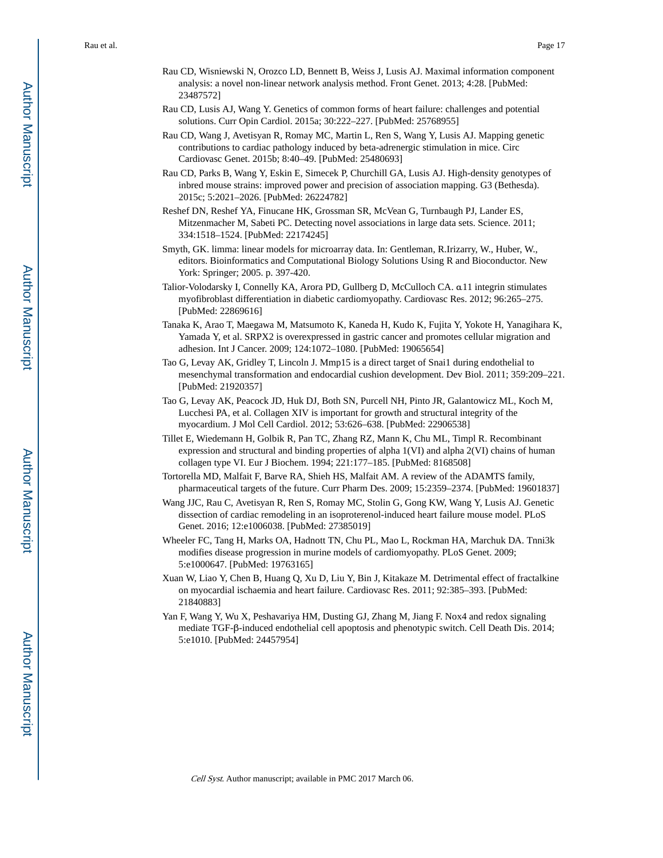- Rau CD, Wisniewski N, Orozco LD, Bennett B, Weiss J, Lusis AJ. Maximal information component analysis: a novel non-linear network analysis method. Front Genet. 2013; 4:28. [PubMed: 23487572]
- Rau CD, Lusis AJ, Wang Y. Genetics of common forms of heart failure: challenges and potential solutions. Curr Opin Cardiol. 2015a; 30:222–227. [PubMed: 25768955]
- Rau CD, Wang J, Avetisyan R, Romay MC, Martin L, Ren S, Wang Y, Lusis AJ. Mapping genetic contributions to cardiac pathology induced by beta-adrenergic stimulation in mice. Circ Cardiovasc Genet. 2015b; 8:40–49. [PubMed: 25480693]
- Rau CD, Parks B, Wang Y, Eskin E, Simecek P, Churchill GA, Lusis AJ. High-density genotypes of inbred mouse strains: improved power and precision of association mapping. G3 (Bethesda). 2015c; 5:2021–2026. [PubMed: 26224782]
- Reshef DN, Reshef YA, Finucane HK, Grossman SR, McVean G, Turnbaugh PJ, Lander ES, Mitzenmacher M, Sabeti PC. Detecting novel associations in large data sets. Science. 2011; 334:1518–1524. [PubMed: 22174245]
- Smyth, GK. limma: linear models for microarray data. In: Gentleman, R.Irizarry, W., Huber, W., editors. Bioinformatics and Computational Biology Solutions Using R and Bioconductor. New York: Springer; 2005. p. 397-420.
- Talior-Volodarsky I, Connelly KA, Arora PD, Gullberg D, McCulloch CA. α11 integrin stimulates myofibroblast differentiation in diabetic cardiomyopathy. Cardiovasc Res. 2012; 96:265–275. [PubMed: 22869616]
- Tanaka K, Arao T, Maegawa M, Matsumoto K, Kaneda H, Kudo K, Fujita Y, Yokote H, Yanagihara K, Yamada Y, et al. SRPX2 is overexpressed in gastric cancer and promotes cellular migration and adhesion. Int J Cancer. 2009; 124:1072–1080. [PubMed: 19065654]
- Tao G, Levay AK, Gridley T, Lincoln J. Mmp15 is a direct target of Snai1 during endothelial to mesenchymal transformation and endocardial cushion development. Dev Biol. 2011; 359:209–221. [PubMed: 21920357]
- Tao G, Levay AK, Peacock JD, Huk DJ, Both SN, Purcell NH, Pinto JR, Galantowicz ML, Koch M, Lucchesi PA, et al. Collagen XIV is important for growth and structural integrity of the myocardium. J Mol Cell Cardiol. 2012; 53:626–638. [PubMed: 22906538]
- Tillet E, Wiedemann H, Golbik R, Pan TC, Zhang RZ, Mann K, Chu ML, Timpl R. Recombinant expression and structural and binding properties of alpha 1(VI) and alpha 2(VI) chains of human collagen type VI. Eur J Biochem. 1994; 221:177–185. [PubMed: 8168508]
- Tortorella MD, Malfait F, Barve RA, Shieh HS, Malfait AM. A review of the ADAMTS family, pharmaceutical targets of the future. Curr Pharm Des. 2009; 15:2359–2374. [PubMed: 19601837]
- Wang JJC, Rau C, Avetisyan R, Ren S, Romay MC, Stolin G, Gong KW, Wang Y, Lusis AJ. Genetic dissection of cardiac remodeling in an isoproterenol-induced heart failure mouse model. PLoS Genet. 2016; 12:e1006038. [PubMed: 27385019]
- Wheeler FC, Tang H, Marks OA, Hadnott TN, Chu PL, Mao L, Rockman HA, Marchuk DA. Tnni3k modifies disease progression in murine models of cardiomyopathy. PLoS Genet. 2009; 5:e1000647. [PubMed: 19763165]
- Xuan W, Liao Y, Chen B, Huang Q, Xu D, Liu Y, Bin J, Kitakaze M. Detrimental effect of fractalkine on myocardial ischaemia and heart failure. Cardiovasc Res. 2011; 92:385–393. [PubMed: 21840883]
- Yan F, Wang Y, Wu X, Peshavariya HM, Dusting GJ, Zhang M, Jiang F. Nox4 and redox signaling mediate TGF-β-induced endothelial cell apoptosis and phenotypic switch. Cell Death Dis. 2014; 5:e1010. [PubMed: 24457954]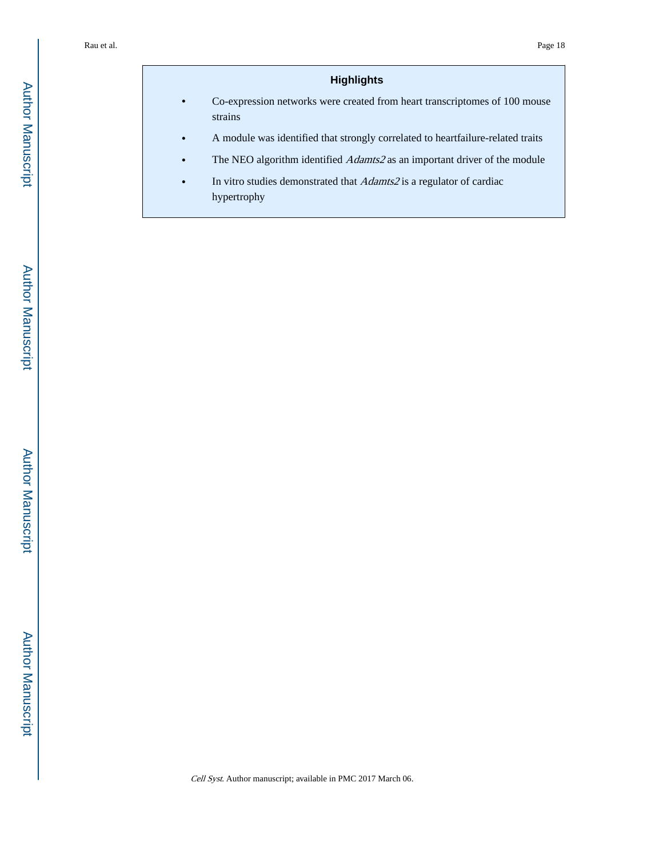# **Highlights**

- **•** Co-expression networks were created from heart transcriptomes of 100 mouse strains
- **•** A module was identified that strongly correlated to heartfailure-related traits
- The NEO algorithm identified *Adamts2* as an important driver of the module
- **•** In vitro studies demonstrated that Adamts2 is a regulator of cardiac hypertrophy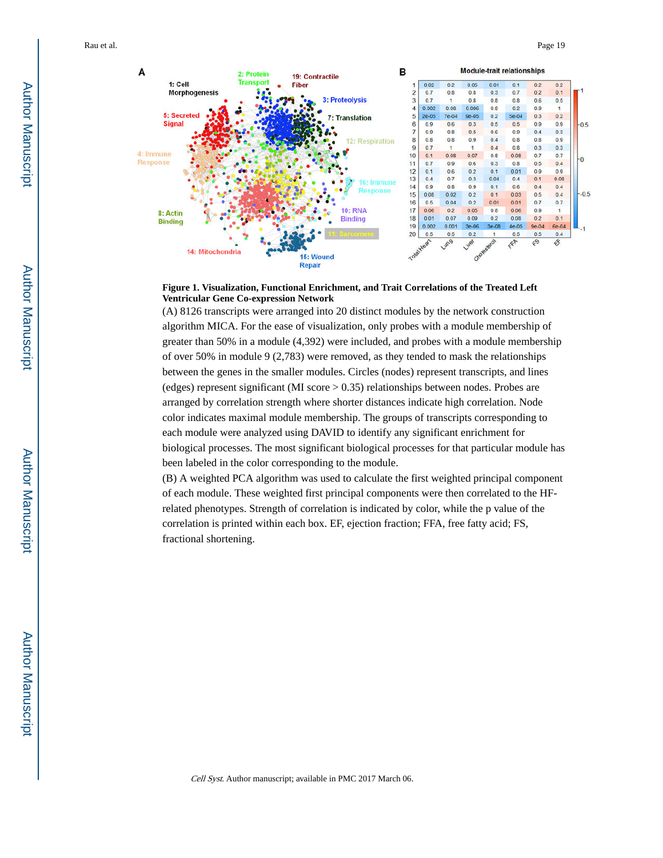

**Figure 1. Visualization, Functional Enrichment, and Trait Correlations of the Treated Left Ventricular Gene Co-expression Network**

(A) 8126 transcripts were arranged into 20 distinct modules by the network construction algorithm MICA. For the ease of visualization, only probes with a module membership of greater than 50% in a module (4,392) were included, and probes with a module membership of over 50% in module 9 (2,783) were removed, as they tended to mask the relationships between the genes in the smaller modules. Circles (nodes) represent transcripts, and lines (edges) represent significant (MI score > 0.35) relationships between nodes. Probes are arranged by correlation strength where shorter distances indicate high correlation. Node color indicates maximal module membership. The groups of transcripts corresponding to each module were analyzed using DAVID to identify any significant enrichment for biological processes. The most significant biological processes for that particular module has been labeled in the color corresponding to the module.

(B) A weighted PCA algorithm was used to calculate the first weighted principal component of each module. These weighted first principal components were then correlated to the HFrelated phenotypes. Strength of correlation is indicated by color, while the p value of the correlation is printed within each box. EF, ejection fraction; FFA, free fatty acid; FS, fractional shortening.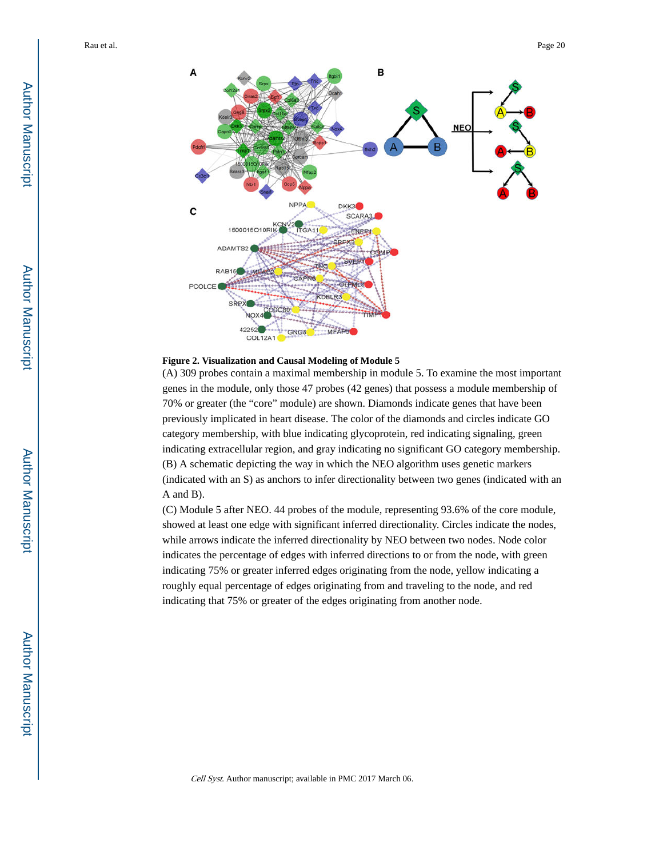



(A) 309 probes contain a maximal membership in module 5. To examine the most important genes in the module, only those 47 probes (42 genes) that possess a module membership of 70% or greater (the "core" module) are shown. Diamonds indicate genes that have been previously implicated in heart disease. The color of the diamonds and circles indicate GO category membership, with blue indicating glycoprotein, red indicating signaling, green indicating extracellular region, and gray indicating no significant GO category membership. (B) A schematic depicting the way in which the NEO algorithm uses genetic markers (indicated with an S) as anchors to infer directionality between two genes (indicated with an A and B).

(C) Module 5 after NEO. 44 probes of the module, representing 93.6% of the core module, showed at least one edge with significant inferred directionality. Circles indicate the nodes, while arrows indicate the inferred directionality by NEO between two nodes. Node color indicates the percentage of edges with inferred directions to or from the node, with green indicating 75% or greater inferred edges originating from the node, yellow indicating a roughly equal percentage of edges originating from and traveling to the node, and red indicating that 75% or greater of the edges originating from another node.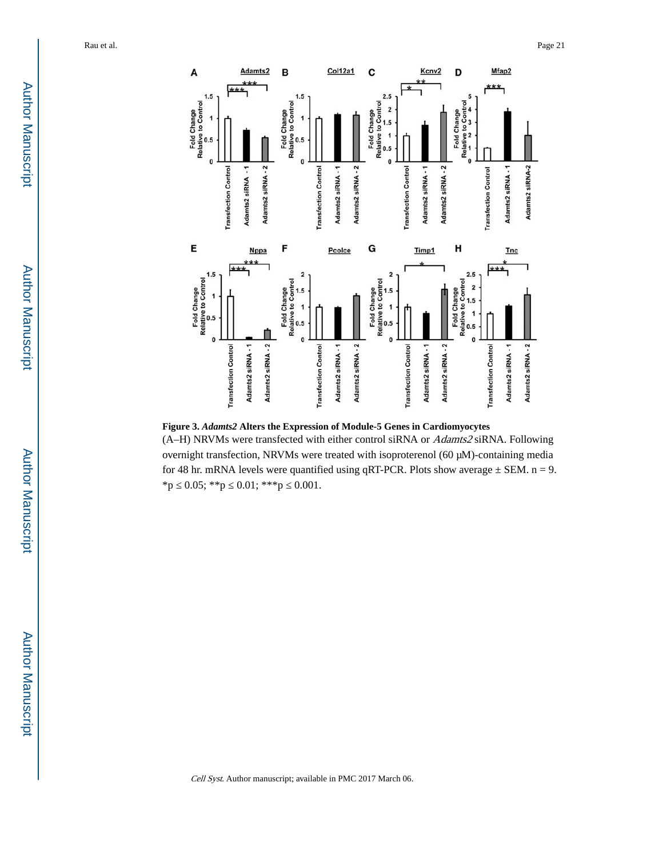

**Figure 3.** *Adamts2* **Alters the Expression of Module-5 Genes in Cardiomyocytes** (A–H) NRVMs were transfected with either control siRNA or Adamts2 siRNA. Following overnight transfection, NRVMs were treated with isoproterenol (60 μM)-containing media for 48 hr. mRNA levels were quantified using qRT-PCR. Plots show average  $\pm$  SEM. n = 9. \*p  $0.05;$  \*\*p  $0.01;$  \*\*\*p  $0.001$ .